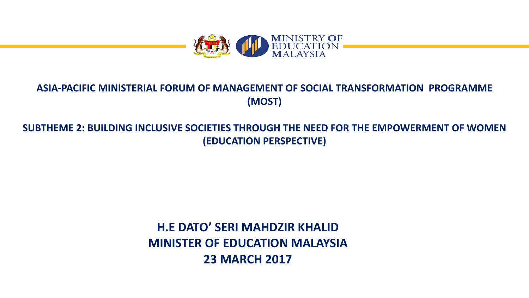

#### **ASIA-PACIFIC MINISTERIAL FORUM OF MANAGEMENT OF SOCIAL TRANSFORMATION PROGRAMME (MOST)**

#### SUBTHEME 2: BUILDING INCLUSIVE SOCIETIES THROUGH THE NEED FOR THE EMPOWERMENT OF WOMEN **(EDUCATION PERSPECTIVE)**

### **H.E DATO' SERI MAHDZIR KHALID MINISTER OF EDUCATION MALAYSIA 23 MARCH 2017**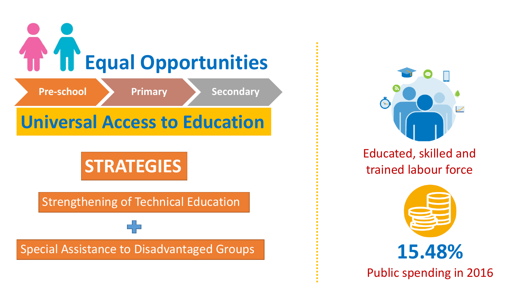



Educated, skilled and trained labour force



**15.48%**

Public spending in 2016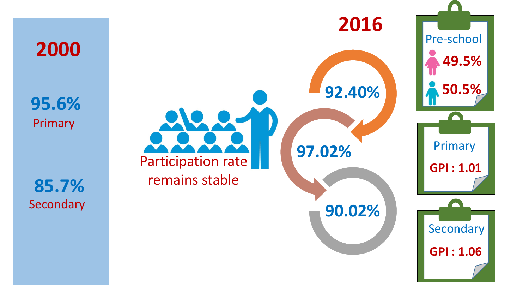Primary **95.6%**

**2000**

Secondary **85.7%**

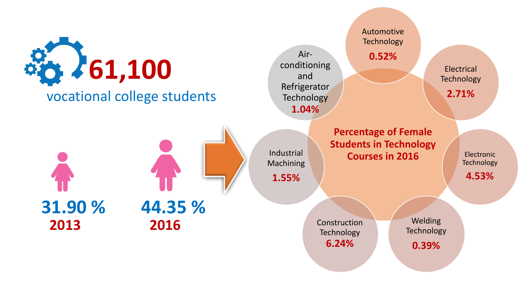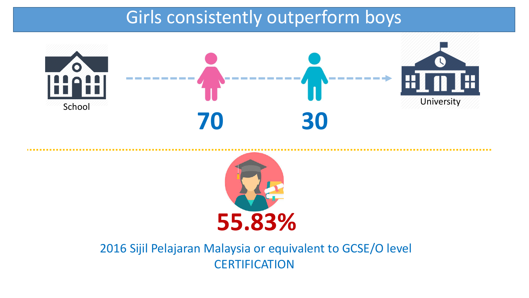## Girls consistently outperform boys





#### 2016 Sijil Pelajaran Malaysia or equivalent to GCSE/O level **CERTIFICATION**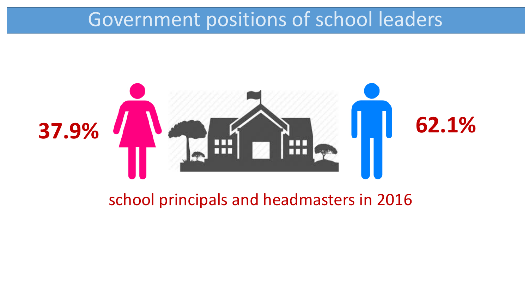## Government positions of school leaders



### school principals and headmasters in 2016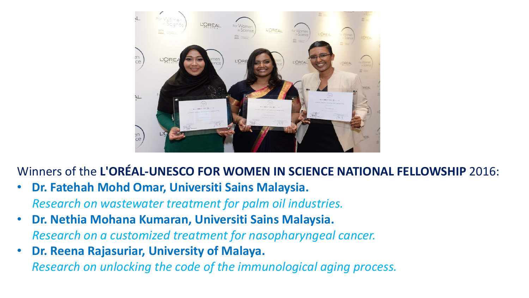

Winners of the L'OREAL-UNESCO FOR WOMEN IN SCIENCE NATIONAL FELLOWSHIP 2016:

- **Dr. Fatehah Mohd Omar, Universiti Sains Malaysia.** *Research on wastewater treatment for palm oil industries.*
- **Dr. Nethia Mohana Kumaran, Universiti Sains Malaysia.** *Research on a customized treatment for nasopharyngeal cancer.*
- **Dr. Reena Rajasuriar, University of Malaya.**

*Research on unlocking the code of the immunological aging process.*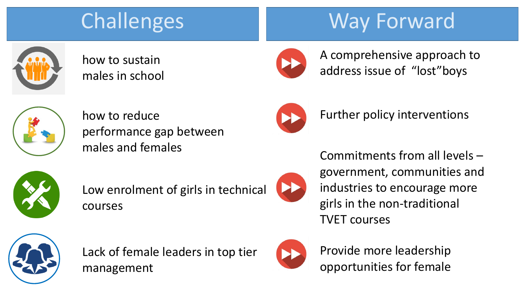# **Challenges**

# Way Forward



how to sustain males in school



A comprehensive approach to address issue of "lost"boys



how to reduce performance gap between males and females



Further policy interventions

Commitments from all levels  $-$ 



Low enrolment of girls in technical courses



government, communities and industries to encourage more girls in the non-traditional **TVET** courses



Lack of female leaders in top tier management



Provide more leadership opportunities for female